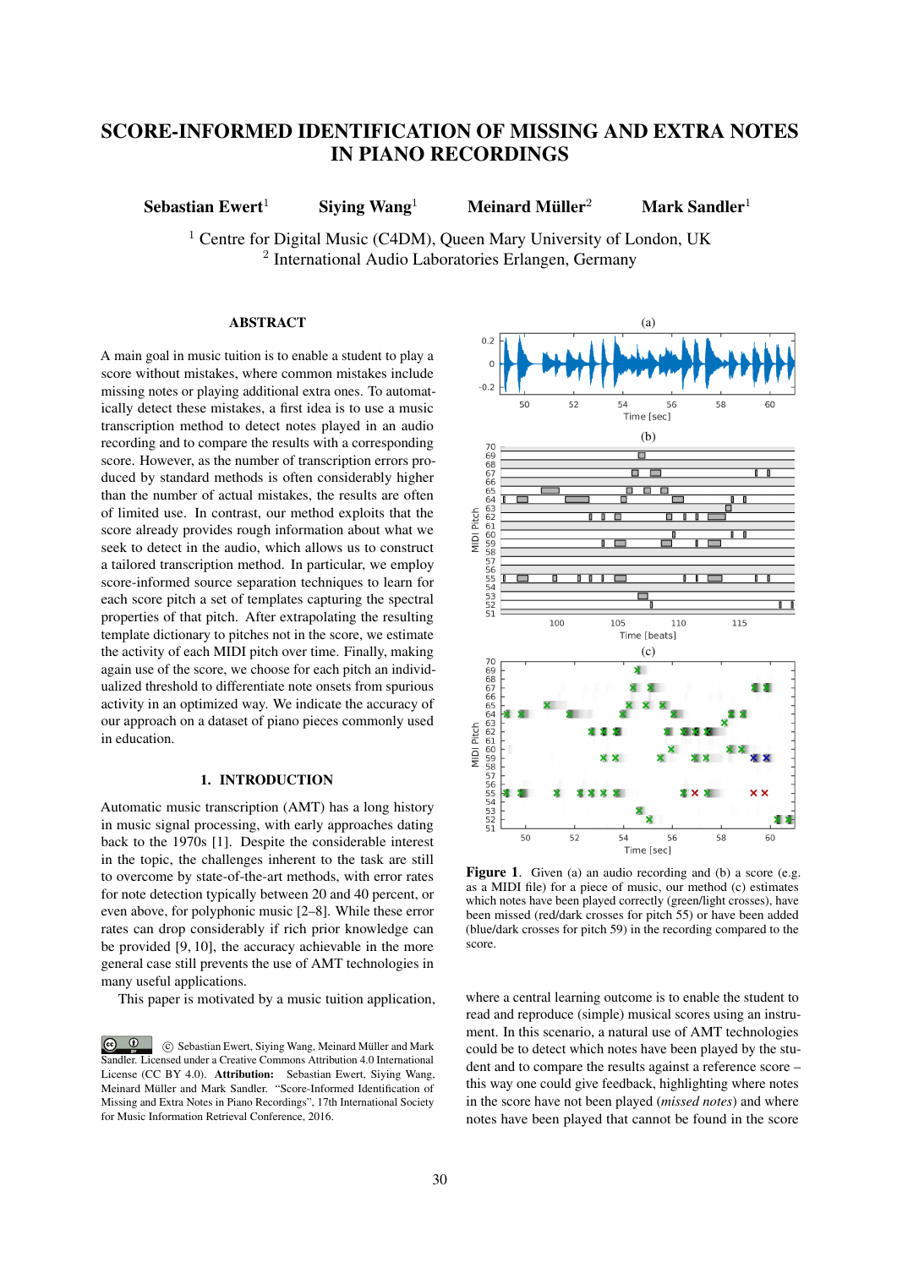# SCORE-INFORMED IDENTIFICATION OF MISSING AND EXTRA NOTES IN PIANO RECORDINGS

Sebastian Ewert<sup>1</sup> Siving Wang<sup>1</sup> Meinard Müller<sup>2</sup>

Mark Sandler $1$ 

<sup>1</sup> Centre for Digital Music (C4DM), Queen Mary University of London, UK <sup>2</sup> International Audio Laboratories Erlangen, Germany

# ABSTRACT

A main goal in music tuition is to enable a student to play a score without mistakes, where common mistakes include missing notes or playing additional extra ones. To automatically detect these mistakes, a first idea is to use a music transcription method to detect notes played in an audio recording and to compare the results with a corresponding score. However, as the number of transcription errors produced by standard methods is often considerably higher than the number of actual mistakes, the results are often of limited use. In contrast, our method exploits that the score already provides rough information about what we seek to detect in the audio, which allows us to construct a tailored transcription method. In particular, we employ score-informed source separation techniques to learn for each score pitch a set of templates capturing the spectral properties of that pitch. After extrapolating the resulting template dictionary to pitches not in the score, we estimate the activity of each MIDI pitch over time. Finally, making again use of the score, we choose for each pitch an individualized threshold to differentiate note onsets from spurious activity in an optimized way. We indicate the accuracy of our approach on a dataset of piano pieces commonly used in education.

# 1. INTRODUCTION

Automatic music transcription (AMT) has a long history in music signal processing, with early approaches dating back to the 1970s [1]. Despite the considerable interest in the topic, the challenges inherent to the task are still to overcome by state-of-the-art methods, with error rates for note detection typically between 20 and 40 percent, or even above, for polyphonic music [2–8]. While these error rates can drop considerably if rich prior knowledge can be provided [9, 10], the accuracy achievable in the more general case still prevents the use of AMT technologies in many useful applications.

This paper is motivated by a music tuition application,

 $\odot$   $\odot$  c Sebastian Ewert, Siying Wang, Meinard Muller and Mark ¨ Sandler. Licensed under a Creative Commons Attribution 4.0 International License (CC BY 4.0). Attribution: Sebastian Ewert, Siying Wang, Meinard Müller and Mark Sandler. "Score-Informed Identification of Missing and Extra Notes in Piano Recordings", 17th International Society for Music Information Retrieval Conference, 2016.



Figure 1. Given (a) an audio recording and (b) a score (e.g. as a MIDI file) for a piece of music, our method (c) estimates which notes have been played correctly (green/light crosses), have been missed (red/dark crosses for pitch 55) or have been added (blue/dark crosses for pitch 59) in the recording compared to the score.

where a central learning outcome is to enable the student to read and reproduce (simple) musical scores using an instrument. In this scenario, a natural use of AMT technologies could be to detect which notes have been played by the student and to compare the results against a reference score – this way one could give feedback, highlighting where notes in the score have not been played (*missed notes*) and where notes have been played that cannot be found in the score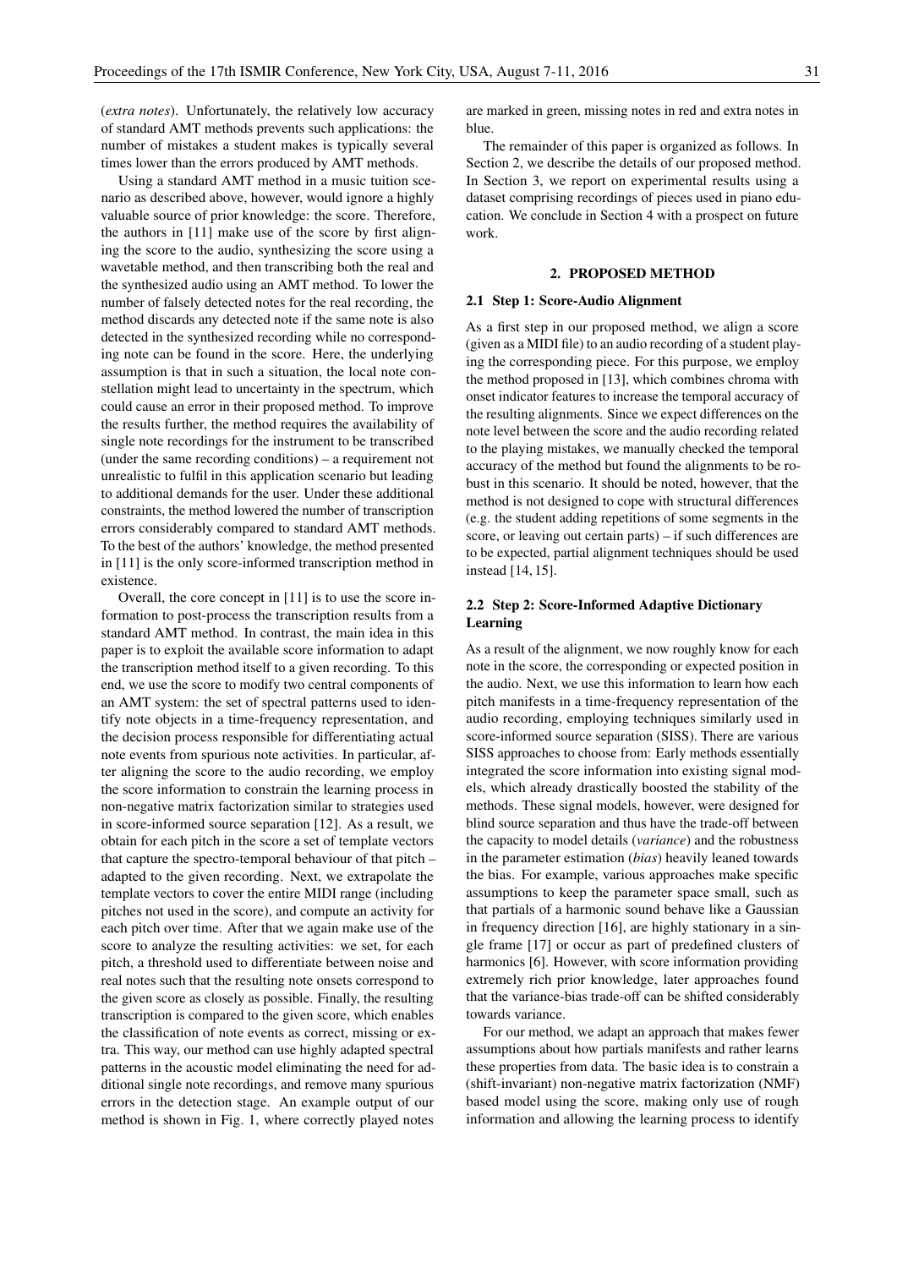(*extra notes*). Unfortunately, the relatively low accuracy of standard AMT methods prevents such applications: the number of mistakes a student makes is typically several times lower than the errors produced by AMT methods.

Using a standard AMT method in a music tuition scenario as described above, however, would ignore a highly valuable source of prior knowledge: the score. Therefore, the authors in [11] make use of the score by first aligning the score to the audio, synthesizing the score using a wavetable method, and then transcribing both the real and the synthesized audio using an AMT method. To lower the number of falsely detected notes for the real recording, the method discards any detected note if the same note is also detected in the synthesized recording while no corresponding note can be found in the score. Here, the underlying assumption is that in such a situation, the local note constellation might lead to uncertainty in the spectrum, which could cause an error in their proposed method. To improve the results further, the method requires the availability of single note recordings for the instrument to be transcribed (under the same recording conditions) – a requirement not unrealistic to fulfil in this application scenario but leading to additional demands for the user. Under these additional constraints, the method lowered the number of transcription errors considerably compared to standard AMT methods. To the best of the authors' knowledge, the method presented in [11] is the only score-informed transcription method in existence.

Overall, the core concept in [11] is to use the score information to post-process the transcription results from a standard AMT method. In contrast, the main idea in this paper is to exploit the available score information to adapt the transcription method itself to a given recording. To this end, we use the score to modify two central components of an AMT system: the set of spectral patterns used to identify note objects in a time-frequency representation, and the decision process responsible for differentiating actual note events from spurious note activities. In particular, after aligning the score to the audio recording, we employ the score information to constrain the learning process in non-negative matrix factorization similar to strategies used in score-informed source separation [12]. As a result, we obtain for each pitch in the score a set of template vectors that capture the spectro-temporal behaviour of that pitch – adapted to the given recording. Next, we extrapolate the template vectors to cover the entire MIDI range (including pitches not used in the score), and compute an activity for each pitch over time. After that we again make use of the score to analyze the resulting activities: we set, for each pitch, a threshold used to differentiate between noise and real notes such that the resulting note onsets correspond to the given score as closely as possible. Finally, the resulting transcription is compared to the given score, which enables the classification of note events as correct, missing or extra. This way, our method can use highly adapted spectral patterns in the acoustic model eliminating the need for additional single note recordings, and remove many spurious errors in the detection stage. An example output of our method is shown in Fig. 1, where correctly played notes

are marked in green, missing notes in red and extra notes in blue.

The remainder of this paper is organized as follows. In Section 2, we describe the details of our proposed method. In Section 3, we report on experimental results using a dataset comprising recordings of pieces used in piano education. We conclude in Section 4 with a prospect on future work.

### 2. PROPOSED METHOD

### 2.1 Step 1: Score-Audio Alignment

As a first step in our proposed method, we align a score (given as a MIDI file) to an audio recording of a student playing the corresponding piece. For this purpose, we employ the method proposed in [13], which combines chroma with onset indicator features to increase the temporal accuracy of the resulting alignments. Since we expect differences on the note level between the score and the audio recording related to the playing mistakes, we manually checked the temporal accuracy of the method but found the alignments to be robust in this scenario. It should be noted, however, that the method is not designed to cope with structural differences (e.g. the student adding repetitions of some segments in the score, or leaving out certain parts) – if such differences are to be expected, partial alignment techniques should be used instead [14, 15].

# 2.2 Step 2: Score-Informed Adaptive Dictionary Learning

As a result of the alignment, we now roughly know for each note in the score, the corresponding or expected position in the audio. Next, we use this information to learn how each pitch manifests in a time-frequency representation of the audio recording, employing techniques similarly used in score-informed source separation (SISS). There are various SISS approaches to choose from: Early methods essentially integrated the score information into existing signal models, which already drastically boosted the stability of the methods. These signal models, however, were designed for blind source separation and thus have the trade-off between the capacity to model details (*variance*) and the robustness in the parameter estimation (*bias*) heavily leaned towards the bias. For example, various approaches make specific assumptions to keep the parameter space small, such as that partials of a harmonic sound behave like a Gaussian in frequency direction [16], are highly stationary in a single frame [17] or occur as part of predefined clusters of harmonics [6]. However, with score information providing extremely rich prior knowledge, later approaches found that the variance-bias trade-off can be shifted considerably towards variance.

For our method, we adapt an approach that makes fewer assumptions about how partials manifests and rather learns these properties from data. The basic idea is to constrain a (shift-invariant) non-negative matrix factorization (NMF) based model using the score, making only use of rough information and allowing the learning process to identify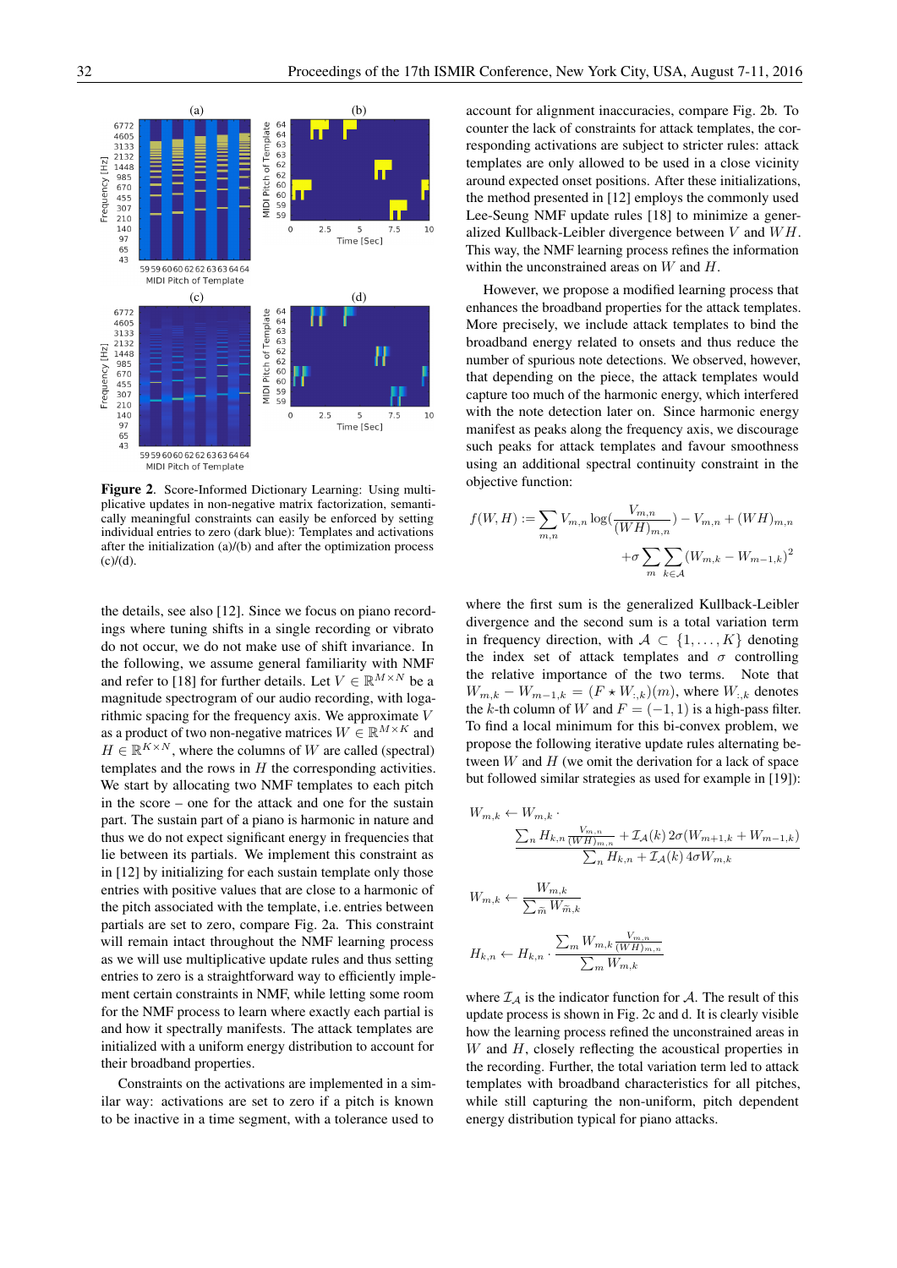

Figure 2. Score-Informed Dictionary Learning: Using multiplicative updates in non-negative matrix factorization, semantically meaningful constraints can easily be enforced by setting individual entries to zero (dark blue): Templates and activations after the initialization (a)/(b) and after the optimization process  $(c)/(d)$ .

the details, see also [12]. Since we focus on piano recordings where tuning shifts in a single recording or vibrato do not occur, we do not make use of shift invariance. In the following, we assume general familiarity with NMF and refer to [18] for further details. Let  $V \in \mathbb{R}^{M \times N}$  be a magnitude spectrogram of our audio recording, with logarithmic spacing for the frequency axis. We approximate V as a product of two non-negative matrices  $W \in \mathbb{R}^{M \times K}$  and  $H \in \mathbb{R}^{K \times N}$ , where the columns of W are called (spectral) templates and the rows in  $H$  the corresponding activities. We start by allocating two NMF templates to each pitch in the score – one for the attack and one for the sustain part. The sustain part of a piano is harmonic in nature and thus we do not expect significant energy in frequencies that lie between its partials. We implement this constraint as in [12] by initializing for each sustain template only those entries with positive values that are close to a harmonic of the pitch associated with the template, i.e. entries between partials are set to zero, compare Fig. 2a. This constraint will remain intact throughout the NMF learning process as we will use multiplicative update rules and thus setting entries to zero is a straightforward way to efficiently implement certain constraints in NMF, while letting some room for the NMF process to learn where exactly each partial is and how it spectrally manifests. The attack templates are initialized with a uniform energy distribution to account for their broadband properties.

Constraints on the activations are implemented in a similar way: activations are set to zero if a pitch is known to be inactive in a time segment, with a tolerance used to

account for alignment inaccuracies, compare Fig. 2b. To counter the lack of constraints for attack templates, the corresponding activations are subject to stricter rules: attack templates are only allowed to be used in a close vicinity around expected onset positions. After these initializations, the method presented in [12] employs the commonly used Lee-Seung NMF update rules [18] to minimize a generalized Kullback-Leibler divergence between  $V$  and  $WH$ . This way, the NMF learning process refines the information within the unconstrained areas on  $W$  and  $H$ .

However, we propose a modified learning process that enhances the broadband properties for the attack templates. More precisely, we include attack templates to bind the broadband energy related to onsets and thus reduce the number of spurious note detections. We observed, however, that depending on the piece, the attack templates would capture too much of the harmonic energy, which interfered with the note detection later on. Since harmonic energy manifest as peaks along the frequency axis, we discourage such peaks for attack templates and favour smoothness using an additional spectral continuity constraint in the objective function:

$$
f(W, H) := \sum_{m,n} V_{m,n} \log(\frac{V_{m,n}}{(WH)_{m,n}}) - V_{m,n} + (WH)_{m,n}
$$

$$
+ \sigma \sum_{m} \sum_{k \in A} (W_{m,k} - W_{m-1,k})^2
$$

where the first sum is the generalized Kullback-Leibler divergence and the second sum is a total variation term in frequency direction, with  $A \subset \{1, \ldots, K\}$  denoting the index set of attack templates and  $\sigma$  controlling the relative importance of the two terms. Note that  $W_{m,k} - W_{m-1,k} = (F \star W_{:,k})(m)$ , where  $W_{:,k}$  denotes the k-th column of W and  $F = (-1, 1)$  is a high-pass filter. To find a local minimum for this bi-convex problem, we propose the following iterative update rules alternating between  $W$  and  $H$  (we omit the derivation for a lack of space but followed similar strategies as used for example in [19]):

$$
W_{m,k} \leftarrow W_{m,k} \cdot \frac{\sum_{n} H_{k,n} \frac{V_{m,n}}{(WH)_{m,n}} + \mathcal{I}_{\mathcal{A}}(k) 2\sigma(W_{m+1,k} + W_{m-1,k})}{\sum_{n} H_{k,n} + \mathcal{I}_{\mathcal{A}}(k) 4\sigma W_{m,k}}
$$
  

$$
W_{m,k} \leftarrow \frac{W_{m,k}}{\sum_{\widetilde{m}} W_{\widetilde{m},k}}
$$
  

$$
H_{k,n} \leftarrow H_{k,n} \cdot \frac{\sum_{m} W_{m,k} \frac{V_{m,n}}{(WH)_{m,n}}}{\sum_{m} W_{m,k}}
$$

where  $\mathcal{I}_A$  is the indicator function for A. The result of this update process is shown in Fig. 2c and d. It is clearly visible how the learning process refined the unconstrained areas in  $W$  and  $H$ , closely reflecting the acoustical properties in the recording. Further, the total variation term led to attack templates with broadband characteristics for all pitches, while still capturing the non-uniform, pitch dependent energy distribution typical for piano attacks.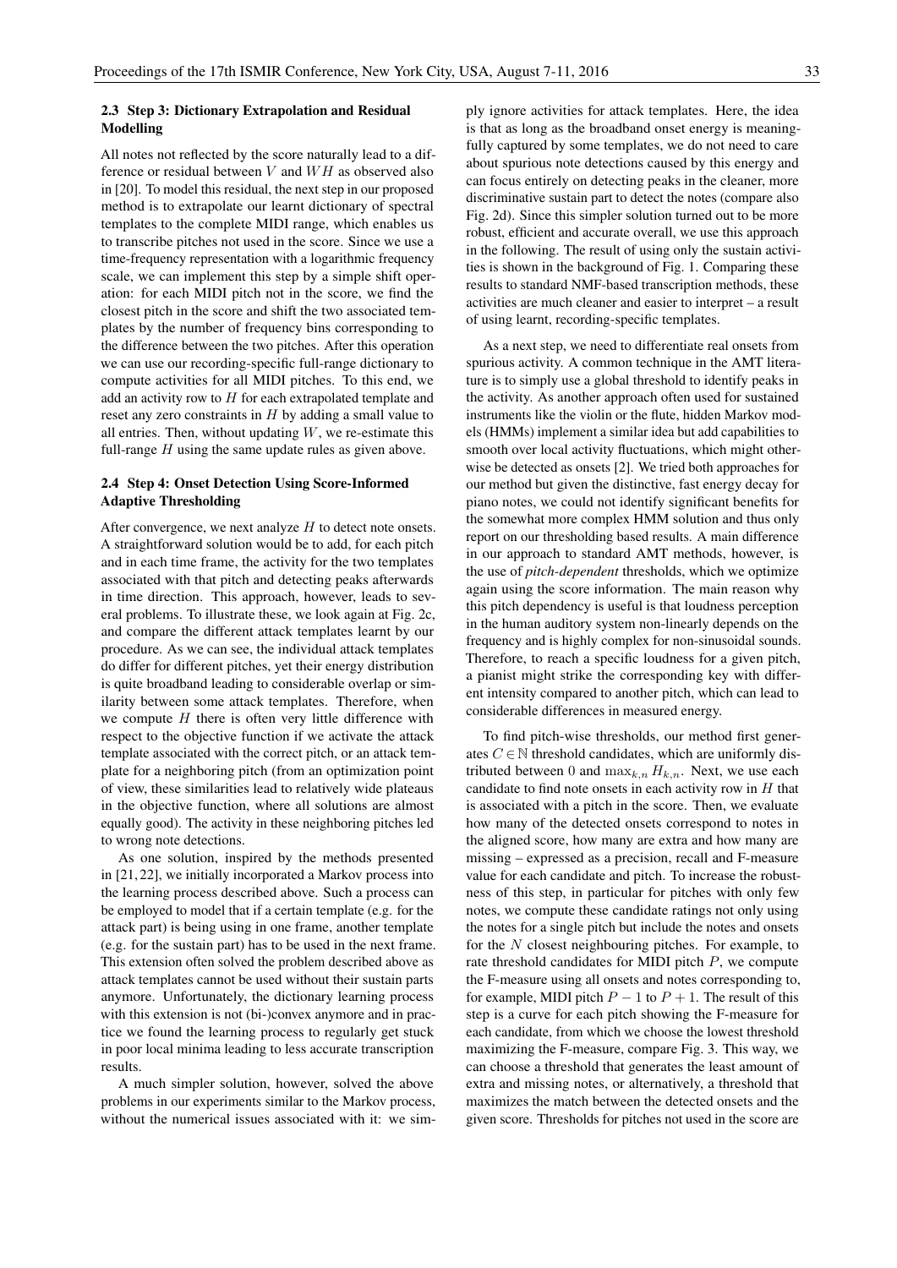# 2.3 Step 3: Dictionary Extrapolation and Residual Modelling

All notes not reflected by the score naturally lead to a difference or residual between  $V$  and  $WH$  as observed also in [20]. To model this residual, the next step in our proposed method is to extrapolate our learnt dictionary of spectral templates to the complete MIDI range, which enables us to transcribe pitches not used in the score. Since we use a time-frequency representation with a logarithmic frequency scale, we can implement this step by a simple shift operation: for each MIDI pitch not in the score, we find the closest pitch in the score and shift the two associated templates by the number of frequency bins corresponding to the difference between the two pitches. After this operation we can use our recording-specific full-range dictionary to compute activities for all MIDI pitches. To this end, we add an activity row to  $H$  for each extrapolated template and reset any zero constraints in  $H$  by adding a small value to all entries. Then, without updating  $W$ , we re-estimate this full-range  $H$  using the same update rules as given above.

# 2.4 Step 4: Onset Detection Using Score-Informed Adaptive Thresholding

After convergence, we next analyze  $H$  to detect note onsets. A straightforward solution would be to add, for each pitch and in each time frame, the activity for the two templates associated with that pitch and detecting peaks afterwards in time direction. This approach, however, leads to several problems. To illustrate these, we look again at Fig. 2c, and compare the different attack templates learnt by our procedure. As we can see, the individual attack templates do differ for different pitches, yet their energy distribution is quite broadband leading to considerable overlap or similarity between some attack templates. Therefore, when we compute  $H$  there is often very little difference with respect to the objective function if we activate the attack template associated with the correct pitch, or an attack template for a neighboring pitch (from an optimization point of view, these similarities lead to relatively wide plateaus in the objective function, where all solutions are almost equally good). The activity in these neighboring pitches led to wrong note detections.

As one solution, inspired by the methods presented in [21, 22], we initially incorporated a Markov process into the learning process described above. Such a process can be employed to model that if a certain template (e.g. for the attack part) is being using in one frame, another template (e.g. for the sustain part) has to be used in the next frame. This extension often solved the problem described above as attack templates cannot be used without their sustain parts anymore. Unfortunately, the dictionary learning process with this extension is not (bi-)convex anymore and in practice we found the learning process to regularly get stuck in poor local minima leading to less accurate transcription results.

A much simpler solution, however, solved the above problems in our experiments similar to the Markov process, without the numerical issues associated with it: we simply ignore activities for attack templates. Here, the idea is that as long as the broadband onset energy is meaningfully captured by some templates, we do not need to care about spurious note detections caused by this energy and can focus entirely on detecting peaks in the cleaner, more discriminative sustain part to detect the notes (compare also Fig. 2d). Since this simpler solution turned out to be more robust, efficient and accurate overall, we use this approach in the following. The result of using only the sustain activities is shown in the background of Fig. 1. Comparing these results to standard NMF-based transcription methods, these activities are much cleaner and easier to interpret – a result of using learnt, recording-specific templates.

As a next step, we need to differentiate real onsets from spurious activity. A common technique in the AMT literature is to simply use a global threshold to identify peaks in the activity. As another approach often used for sustained instruments like the violin or the flute, hidden Markov models (HMMs) implement a similar idea but add capabilities to smooth over local activity fluctuations, which might otherwise be detected as onsets [2]. We tried both approaches for our method but given the distinctive, fast energy decay for piano notes, we could not identify significant benefits for the somewhat more complex HMM solution and thus only report on our thresholding based results. A main difference in our approach to standard AMT methods, however, is the use of *pitch-dependent* thresholds, which we optimize again using the score information. The main reason why this pitch dependency is useful is that loudness perception in the human auditory system non-linearly depends on the frequency and is highly complex for non-sinusoidal sounds. Therefore, to reach a specific loudness for a given pitch, a pianist might strike the corresponding key with different intensity compared to another pitch, which can lead to considerable differences in measured energy.

To find pitch-wise thresholds, our method first generates  $C \in \mathbb{N}$  threshold candidates, which are uniformly distributed between 0 and  $\max_{k,n} H_{k,n}$ . Next, we use each candidate to find note onsets in each activity row in  $H$  that is associated with a pitch in the score. Then, we evaluate how many of the detected onsets correspond to notes in the aligned score, how many are extra and how many are missing – expressed as a precision, recall and F-measure value for each candidate and pitch. To increase the robustness of this step, in particular for pitches with only few notes, we compute these candidate ratings not only using the notes for a single pitch but include the notes and onsets for the  $N$  closest neighbouring pitches. For example, to rate threshold candidates for MIDI pitch  $P$ , we compute the F-measure using all onsets and notes corresponding to, for example, MIDI pitch  $P - 1$  to  $P + 1$ . The result of this step is a curve for each pitch showing the F-measure for each candidate, from which we choose the lowest threshold maximizing the F-measure, compare Fig. 3. This way, we can choose a threshold that generates the least amount of extra and missing notes, or alternatively, a threshold that maximizes the match between the detected onsets and the given score. Thresholds for pitches not used in the score are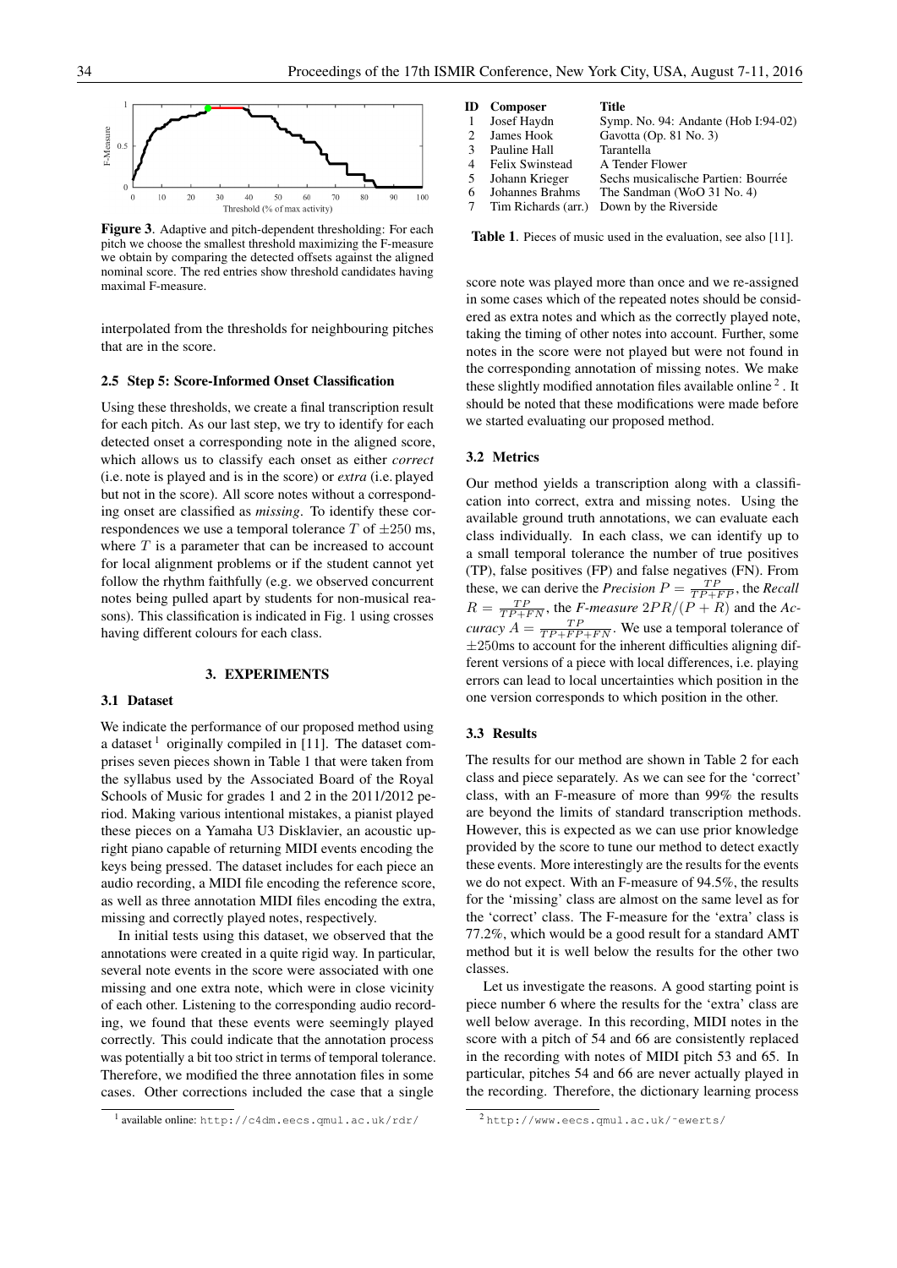

Figure 3. Adaptive and pitch-dependent thresholding: For each pitch we choose the smallest threshold maximizing the F-measure we obtain by comparing the detected offsets against the aligned nominal score. The red entries show threshold candidates having maximal F-measure.

interpolated from the thresholds for neighbouring pitches that are in the score.

#### 2.5 Step 5: Score-Informed Onset Classification

Using these thresholds, we create a final transcription result for each pitch. As our last step, we try to identify for each detected onset a corresponding note in the aligned score, which allows us to classify each onset as either *correct* (i.e. note is played and is in the score) or *extra* (i.e. played but not in the score). All score notes without a corresponding onset are classified as *missing*. To identify these correspondences we use a temporal tolerance  $T$  of  $\pm 250$  ms, where  $T$  is a parameter that can be increased to account for local alignment problems or if the student cannot yet follow the rhythm faithfully (e.g. we observed concurrent notes being pulled apart by students for non-musical reasons). This classification is indicated in Fig. 1 using crosses having different colours for each class.

### 3. EXPERIMENTS

### 3.1 Dataset

We indicate the performance of our proposed method using a dataset  $<sup>1</sup>$  originally compiled in [11]. The dataset com-</sup> prises seven pieces shown in Table 1 that were taken from the syllabus used by the Associated Board of the Royal Schools of Music for grades 1 and 2 in the 2011/2012 period. Making various intentional mistakes, a pianist played these pieces on a Yamaha U3 Disklavier, an acoustic upright piano capable of returning MIDI events encoding the keys being pressed. The dataset includes for each piece an audio recording, a MIDI file encoding the reference score, as well as three annotation MIDI files encoding the extra, missing and correctly played notes, respectively.

In initial tests using this dataset, we observed that the annotations were created in a quite rigid way. In particular, several note events in the score were associated with one missing and one extra note, which were in close vicinity of each other. Listening to the corresponding audio recording, we found that these events were seemingly played correctly. This could indicate that the annotation process was potentially a bit too strict in terms of temporal tolerance. Therefore, we modified the three annotation files in some cases. Other corrections included the case that a single

|               | <b>ID</b> Composer     | Title                               |
|---------------|------------------------|-------------------------------------|
| -1            | Josef Haydn            | Symp. No. 94: Andante (Hob I:94-02) |
| $\mathcal{L}$ | James Hook             | Gavotta (Op. 81 No. 3)              |
| $\mathcal{R}$ | Pauline Hall           | <b>Tarantella</b>                   |
| 4             | <b>Felix Swinstead</b> | A Tender Flower                     |
| -5            | Johann Krieger         | Sechs musicalische Partien: Bourrée |
| 6             | Johannes Brahms        | The Sandman (WoO 31 No. 4)          |
|               | Tim Richards (arr.)    | Down by the Riverside               |

Table 1. Pieces of music used in the evaluation, see also [11].

score note was played more than once and we re-assigned in some cases which of the repeated notes should be considered as extra notes and which as the correctly played note, taking the timing of other notes into account. Further, some notes in the score were not played but were not found in the corresponding annotation of missing notes. We make these slightly modified annotation files available online<sup>2</sup>. It should be noted that these modifications were made before we started evaluating our proposed method.

### 3.2 Metrics

Our method yields a transcription along with a classification into correct, extra and missing notes. Using the available ground truth annotations, we can evaluate each class individually. In each class, we can identify up to a small temporal tolerance the number of true positives (TP), false positives (FP) and false negatives (FN). From these, we can derive the *Precision*  $P = \frac{TP}{TP + FP}$ , the *Recall*  $R = \frac{TP}{TP + FN}$ , the *F-measure*  $2PR/(P + R)$  and the *Accuracy*  $A = \frac{TP}{TP + FP + FN}$ . We use a temporal tolerance of  $±250$ ms to account for the inherent difficulties aligning different versions of a piece with local differences, i.e. playing errors can lead to local uncertainties which position in the one version corresponds to which position in the other.

#### 3.3 Results

The results for our method are shown in Table 2 for each class and piece separately. As we can see for the 'correct' class, with an F-measure of more than 99% the results are beyond the limits of standard transcription methods. However, this is expected as we can use prior knowledge provided by the score to tune our method to detect exactly these events. More interestingly are the results for the events we do not expect. With an F-measure of 94.5%, the results for the 'missing' class are almost on the same level as for the 'correct' class. The F-measure for the 'extra' class is 77.2%, which would be a good result for a standard AMT method but it is well below the results for the other two classes.

Let us investigate the reasons. A good starting point is piece number 6 where the results for the 'extra' class are well below average. In this recording, MIDI notes in the score with a pitch of 54 and 66 are consistently replaced in the recording with notes of MIDI pitch 53 and 65. In particular, pitches 54 and 66 are never actually played in the recording. Therefore, the dictionary learning process

<sup>1</sup> available online: http://c4dm.eecs.qmul.ac.uk/rdr/

<sup>2</sup> http://www.eecs.qmul.ac.uk/˜ewerts/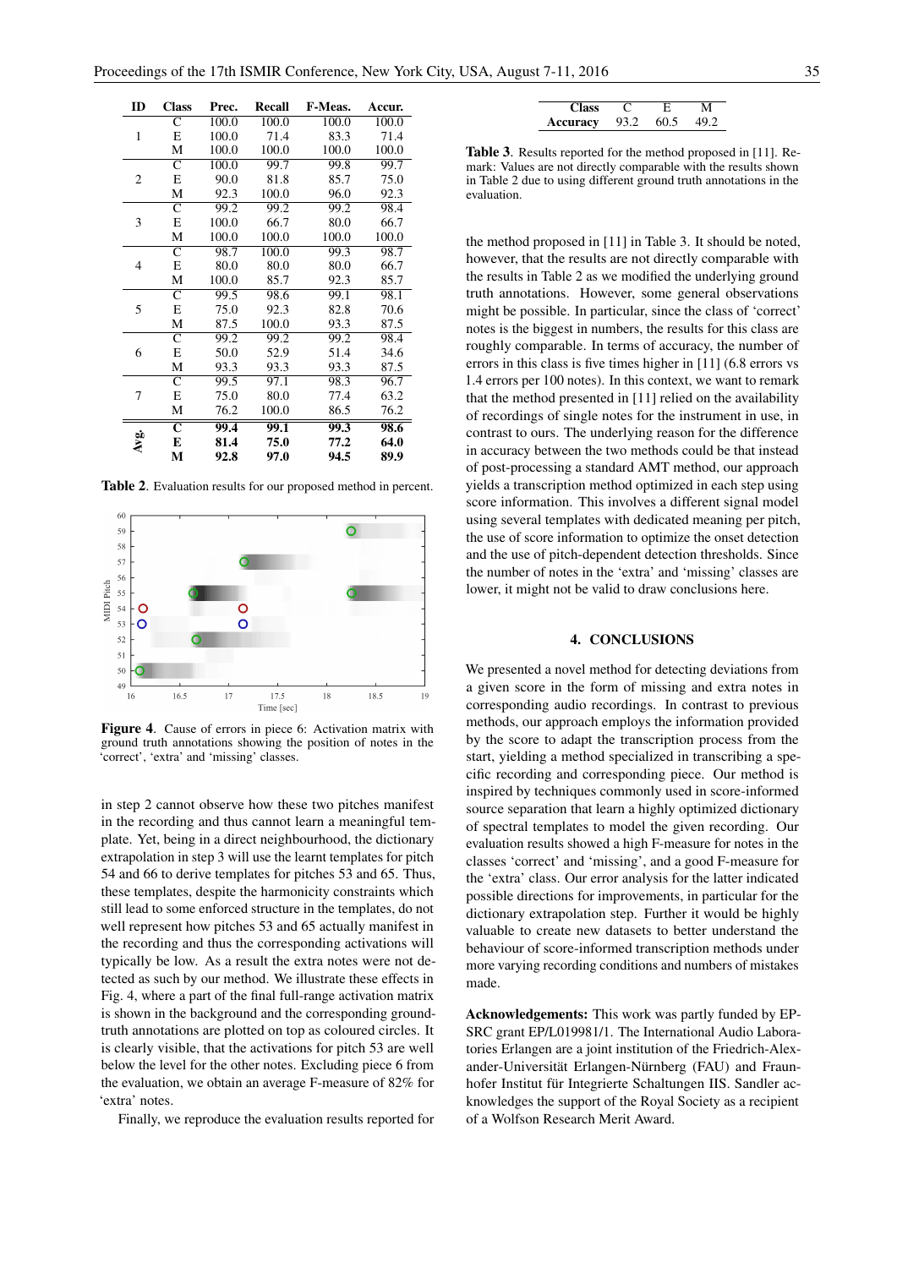| ID             | <b>Class</b>          | Prec. | Recall | F-Meas.           | Accur. |
|----------------|-----------------------|-------|--------|-------------------|--------|
|                | C                     | 100.0 | 100.0  | 100.0             | 100.0  |
| $\mathbf{1}$   | Е                     | 100.0 | 71.4   | 83.3              | 71.4   |
|                | М                     | 100.0 | 100.0  | 100.0             | 100.0  |
|                | $\overline{\text{c}}$ | 100.0 | 99.7   | 99.8              | 99.7   |
| 2              | Е                     | 90.0  | 81.8   | 85.7              | 75.0   |
|                | М                     | 92.3  | 100.0  | 96.0              | 92.3   |
|                | $\overline{\text{C}}$ | 99.2  | 99.2   | 99.2              | 98.4   |
| 3              | Е                     | 100.0 | 66.7   | 80.0              | 66.7   |
|                | М                     | 100.0 | 100.0  | 100.0             | 100.0  |
|                | $\overline{\text{C}}$ | 98.7  | 100.0  | $\overline{99.3}$ | 98.7   |
| $\overline{4}$ | Е                     | 80.0  | 80.0   | 80.0              | 66.7   |
|                | М                     | 100.0 | 85.7   | 92.3              | 85.7   |
|                | $\mathsf{C}$          | 99.5  | 98.6   | 99.1              | 98.1   |
| 5              | Е                     | 75.0  | 92.3   | 82.8              | 70.6   |
|                | М                     | 87.5  | 100.0  | 93.3              | 87.5   |
|                | $\overline{\text{c}}$ | 99.2  | 99.2   | 99.2              | 98.4   |
| 6              | E                     | 50.0  | 52.9   | 51.4              | 34.6   |
|                | М                     | 93.3  | 93.3   | 93.3              | 87.5   |
|                | $\overline{\text{C}}$ | 99.5  | 97.1   | 98.3              | 96.7   |
| 7              | Е                     | 75.0  | 80.0   | 77.4              | 63.2   |
|                | М                     | 76.2  | 100.0  | 86.5              | 76.2   |
|                | $\overline{\text{c}}$ | 99.4  | 99.1   | 99.3              | 98.6   |
| Avg.           | E                     | 81.4  | 75.0   | 77.2              | 64.0   |
|                | М                     | 92.8  | 97.0   | 94.5              | 89.9   |

Table 2. Evaluation results for our proposed method in percent.



Figure 4. Cause of errors in piece 6: Activation matrix with ground truth annotations showing the position of notes in the 'correct', 'extra' and 'missing' classes.

in step 2 cannot observe how these two pitches manifest in the recording and thus cannot learn a meaningful template. Yet, being in a direct neighbourhood, the dictionary extrapolation in step 3 will use the learnt templates for pitch 54 and 66 to derive templates for pitches 53 and 65. Thus, these templates, despite the harmonicity constraints which still lead to some enforced structure in the templates, do not well represent how pitches 53 and 65 actually manifest in the recording and thus the corresponding activations will typically be low. As a result the extra notes were not detected as such by our method. We illustrate these effects in Fig. 4, where a part of the final full-range activation matrix is shown in the background and the corresponding groundtruth annotations are plotted on top as coloured circles. It is clearly visible, that the activations for pitch 53 are well below the level for the other notes. Excluding piece 6 from the evaluation, we obtain an average F-measure of 82% for 'extra' notes.

Finally, we reproduce the evaluation results reported for

| <b>Class</b> |      | E.   | М    |
|--------------|------|------|------|
| Accuracy     | 93.2 | 60.5 | 49.2 |

Table 3. Results reported for the method proposed in [11]. Remark: Values are not directly comparable with the results shown in Table 2 due to using different ground truth annotations in the evaluation.

the method proposed in [11] in Table 3. It should be noted, however, that the results are not directly comparable with the results in Table 2 as we modified the underlying ground truth annotations. However, some general observations might be possible. In particular, since the class of 'correct' notes is the biggest in numbers, the results for this class are roughly comparable. In terms of accuracy, the number of errors in this class is five times higher in [11] (6.8 errors vs 1.4 errors per 100 notes). In this context, we want to remark that the method presented in [11] relied on the availability of recordings of single notes for the instrument in use, in contrast to ours. The underlying reason for the difference in accuracy between the two methods could be that instead of post-processing a standard AMT method, our approach yields a transcription method optimized in each step using score information. This involves a different signal model using several templates with dedicated meaning per pitch, the use of score information to optimize the onset detection and the use of pitch-dependent detection thresholds. Since the number of notes in the 'extra' and 'missing' classes are lower, it might not be valid to draw conclusions here.

# 4. CONCLUSIONS

We presented a novel method for detecting deviations from a given score in the form of missing and extra notes in corresponding audio recordings. In contrast to previous methods, our approach employs the information provided by the score to adapt the transcription process from the start, yielding a method specialized in transcribing a specific recording and corresponding piece. Our method is inspired by techniques commonly used in score-informed source separation that learn a highly optimized dictionary of spectral templates to model the given recording. Our evaluation results showed a high F-measure for notes in the classes 'correct' and 'missing', and a good F-measure for the 'extra' class. Our error analysis for the latter indicated possible directions for improvements, in particular for the dictionary extrapolation step. Further it would be highly valuable to create new datasets to better understand the behaviour of score-informed transcription methods under more varying recording conditions and numbers of mistakes made.

Acknowledgements: This work was partly funded by EP-SRC grant EP/L019981/1. The International Audio Laboratories Erlangen are a joint institution of the Friedrich-Alexander-Universität Erlangen-Nürnberg (FAU) and Fraunhofer Institut für Integrierte Schaltungen IIS. Sandler acknowledges the support of the Royal Society as a recipient of a Wolfson Research Merit Award.